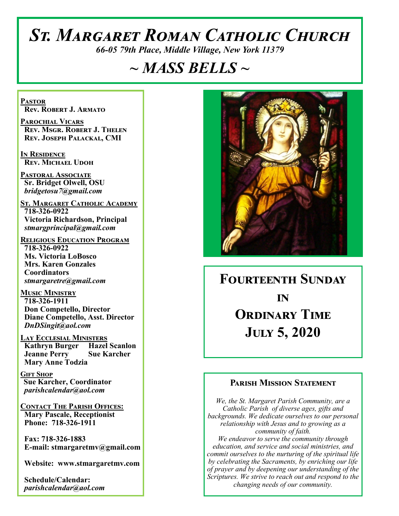# *St. Margaret Roman Catholic Church*

*66-05 79th Place, Middle Village, New York 11379*

# *~ MASS BELLS ~*

**Pastor Rev. Robert J. Armato**

**Parochial Vicars Rev. Msgr. Robert J. Thelen Rev. Joseph Palackal, CMI**

**In Residence Rev. Michael Udoh**

**Pastoral Associate Sr. Bridget Olwell, OSU**  *bridgetosu7@gmail.com*

**St. Margaret Catholic Academy 718-326-0922 Victoria Richardson, Principal**  *stmargprincipal@gmail.com*

**Religious Education Program 718-326-0922 Ms. Victoria LoBosco Mrs. Karen Gonzales Coordinators** *stmargaretre@gmail.com*

**Music Ministry 718-326-1911 Don Competello, Director Diane Competello, Asst. Director** *DnDSingit@aol.com*

**Lay Ecclesial Ministers Kathryn Burger Hazel Scanlon Jeanne Perry Sue Karcher Mary Anne Todzia**

**Gift Shop Sue Karcher, Coordinator** *parishcalendar@aol.com*

**Contact The Parish Offices: Mary Pascale, Receptionist Phone: 718-326-1911** 

 **Fax: 718-326-1883 E-mail: stmargaretmv@gmail.com**

 **Website: www.stmargaretmv.com**

 **Schedule/Calendar:** *parishcalendar@aol.com* 



# **Fourteenth Sunday in Ordinary Time July 5, 2020**

## **Parish Mission Statement**

*We, the St. Margaret Parish Community, are a Catholic Parish of diverse ages, gifts and backgrounds. We dedicate ourselves to our personal relationship with Jesus and to growing as a community of faith. We endeavor to serve the community through education, and service and social ministries, and commit ourselves to the nurturing of the spiritual life by celebrating the Sacraments, by enriching our life of prayer and by deepening our understanding of the Scriptures. We strive to reach out and respond to the changing needs of our community.*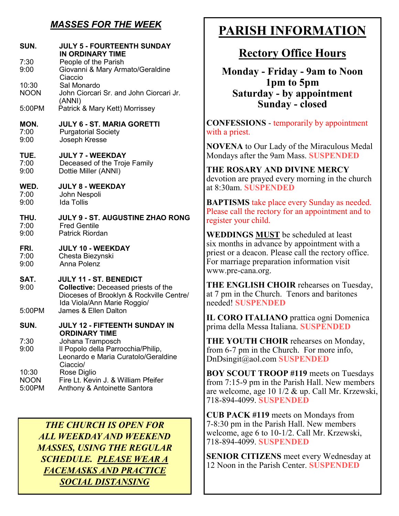## *MASSES FOR THE WEEK*

| SUN.<br>7:30<br>9:00           | <b>JULY 5 - FOURTEENTH SUNDAY</b><br>IN ORDINARY TIME<br>People of the Parish<br>Giovanni & Mary Armato/Geraldine                                      |
|--------------------------------|--------------------------------------------------------------------------------------------------------------------------------------------------------|
| 10:30<br><b>NOON</b>           | Ciaccio<br>Sal Monardo<br>John Ciorcari Sr. and John Ciorcari Jr.<br>(ANNI)                                                                            |
| 5:00PM                         | Patrick & Mary Kett) Morrissey                                                                                                                         |
| MON.<br>7:00<br>9:00           | <b>JULY 6 - ST. MARIA GORETTI</b><br><b>Purgatorial Society</b><br>Joseph Kresse                                                                       |
| TUE.<br>7:00<br>9:00           | <b>JULY 7 - WEEKDAY</b><br>Deceased of the Troje Family<br>Dottie Miller (ANNI)                                                                        |
| WED.<br>7:00<br>9:00           | <b>JULY 8 - WEEKDAY</b><br>John Nespoli<br><b>Ida Tollis</b>                                                                                           |
| THU.<br>7:00<br>9:00           | <b>JULY 9 - ST. AUGUSTINE ZHAO RONG</b><br><b>Fred Gentile</b><br><b>Patrick Riordan</b>                                                               |
| FRI.<br>7:00<br>9:00           | <b>JULY 10 - WEEKDAY</b><br>Chesta Biezynski<br>Anna Polenz                                                                                            |
| SAT.<br>9:00                   | <b>JULY 11 - ST. BENEDICT</b><br><b>Collective: Deceased priests of the</b><br>Dioceses of Brooklyn & Rockville Centre/<br>Ida Viola/Ann Marie Roggio/ |
| 5:00PM                         | James & Ellen Dalton                                                                                                                                   |
| SUN.                           | JULY 12 - FIFTEENTH SUNDAY IN                                                                                                                          |
| 7:30<br>9:00                   | <b><i>ORDINARY TIME</i></b><br>Johana Tramposch<br>Il Popolo della Parrocchia/Philip,<br>Leonardo e Maria Curatolo/Geraldine<br>Ciaccio/               |
| 10:30<br><b>NOON</b><br>5:00PM | Rose Diglio<br>Fire Lt. Kevin J. & William Pfeifer<br>Anthony & Antoinette Santora                                                                     |

*THE CHURCH IS OPEN FOR ALL WEEKDAY AND WEEKEND MASSES, USING THE REGULAR SCHEDULE. PLEASE WEAR A FACEMASKS AND PRACTICE SOCIAL DISTANSING*

## **PARISH INFORMATION**

## **Rectory Office Hours**

**Monday - Friday - 9am to Noon 1pm to 5pm Saturday - by appointment Sunday - closed** 

**CONFESSIONS** - temporarily by appointment with a priest.

**NOVENA** to Our Lady of the Miraculous Medal Mondays after the 9am Mass. **SUSPENDED**

**THE ROSARY AND DIVINE MERCY** devotion are prayed every morning in the church at 8:30am. **SUSPENDED**

**BAPTISMS** take place every Sunday as needed. Please call the rectory for an appointment and to register your child.

**WEDDINGS MUST** be scheduled at least six months in advance by appointment with a priest or a deacon. Please call the rectory office. For marriage preparation information visit www.pre-cana.org.

**THE ENGLISH CHOIR** rehearses on Tuesday, at 7 pm in the Church. Tenors and baritones needed! **SUSPENDED**

**IL CORO ITALIANO** prattica ogni Domenica prima della Messa Italiana. **SUSPENDED**

**THE YOUTH CHOIR** rehearses on Monday, from 6-7 pm in the Church. For more info, DnDsingit@aol.com **SUSPENDED**

**BOY SCOUT TROOP #119** meets on Tuesdays from 7:15-9 pm in the Parish Hall. New members are welcome, age 10 1/2 & up. Call Mr. Krzewski, 718-894-4099. **SUSPENDED**

**CUB PACK #119** meets on Mondays from 7-8:30 pm in the Parish Hall. New members welcome, age 6 to 10-1/2. Call Mr. Krzewski, 718-894-4099. **SUSPENDED**

**SENIOR CITIZENS** meet every Wednesday at 12 Noon in the Parish Center. **SUSPENDED**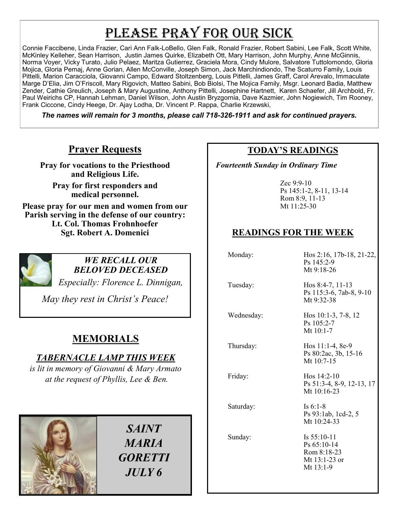# PLEASE PRAY FOR OUR SICK

Connie Faccibene, Linda Frazier, Cari Ann Falk-LoBello, Glen Falk, Ronald Frazier, Robert Sabini, Lee Falk, Scott White, McKinley Kelleher, Sean Harrison, Justin James Quirke, Elizabeth Ott, Mary Harrison, John Murphy, Anne McGinnis, Norma Voyer, Vicky Turato, Julio Pelaez, Maritza Gutierrez, Graciela Mora, Cindy Mulore, Salvatore Tuttolomondo, Gloria Mojica, Gloria Pemaj, Anne Gorian, Allen McConville, Joseph Simon, Jack Marchindiondo, The Scaturro Family, Louis Pittelli, Marion Caracciola, Giovanni Campo, Edward Stoltzenberg, Louis Pittelli, James Graff, Carol Arevalo, Immaculate Marge D'Elia, Jim O'Friscoll, Mary Rigovich, Matteo Sabini, Bob Biolsi, The Mojica Family, Msgr. Leonard Badia, Matthew Zender, Cathie Greulich, Joseph & Mary Augustine, Anthony Pittelli, Josephine Hartnett, Karen Schaefer, Jill Archbold, Fr. Paul Weirichs CP, Hannah Lehman, Daniel Wilson, John Austin Bryzgornia, Dave Kazmier, John Nogiewich, Tim Rooney, Frank Ciccone, Cindy Heege, Dr. Ajay Lodha, Dr. Vincent P. Rappa, Charlie Krzewski,

*The names will remain for 3 months, please call 718-326-1911 and ask for continued prayers.*

## **Prayer Requests**

**Pray for vocations to the Priesthood and Religious Life.** 

**Pray for first responders and medical personnel.**

**Please pray for our men and women from our Parish serving in the defense of our country: Lt. Col. Thomas Frohnhoefer Sgt. Robert A. Domenici** 



#### *WE RECALL OUR BELOVED DECEASED*

*Especially: Florence L. Dinnigan,*

*May they rest in Christ's Peace!*

## **MEMORIALS**

## *TABERNACLE LAMP THIS WEEK*

*is lit in memory of Giovanni & Mary Armato at the request of Phyllis, Lee & Ben.* 



*SAINT MARIA GORETTI JULY 6*

## **TODAY'S READINGS**

 *Fourteenth Sunday in Ordinary Time*

Zec 9:9-10 Ps 145:1-2, 8-11, 13-14 Rom 8:9, 11-13 Mt 11:25-30

## **READINGS FOR THE WEEK**

| Monday:    | Hos 2:16, 17b-18, 21-22,<br>Ps 145:2-9<br>Mt 9:18-26                        |
|------------|-----------------------------------------------------------------------------|
| Tuesday:   | Hos $8:4-7, 11-13$<br>Ps 115:3-6, 7ab-8, 9-10<br>Mt 9:32-38                 |
| Wednesday: | Hos $10:1-3, 7-8, 12$<br>Ps 105:2-7<br>Mt $10:1-7$                          |
| Thursday:  | Hos $11:1-4$ , 8e-9<br>Ps 80:2ac, 3b, 15-16<br>Mt $10:7-15$                 |
| Friday:    | Hos $14:2-10$<br>Ps 51:3-4, 8-9, 12-13, 17<br>Mt $10:16-23$                 |
| Saturday:  | Is $6:1-8$<br>Ps 93:1ab, 1cd-2, 5<br>Mt 10:24-33                            |
| Sunday:    | Is $55:10-11$<br>Ps 65:10-14<br>Rom 8:18-23<br>Mt $13:1-23$ or<br>Mt 13:1-9 |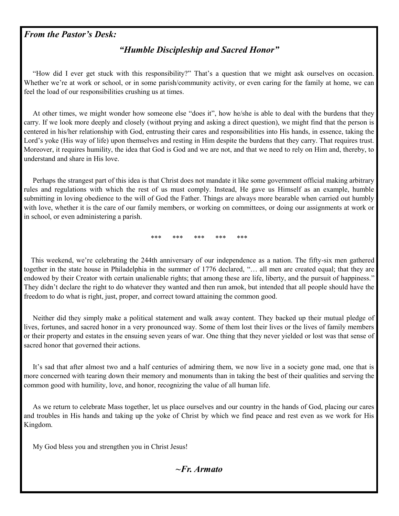#### *From the Pastor's Desk:*

## *"Humble Discipleship and Sacred Honor"*

 "How did I ever get stuck with this responsibility?" That's a question that we might ask ourselves on occasion. Whether we're at work or school, or in some parish/community activity, or even caring for the family at home, we can feel the load of our responsibilities crushing us at times.

 At other times, we might wonder how someone else "does it", how he/she is able to deal with the burdens that they carry. If we look more deeply and closely (without prying and asking a direct question), we might find that the person is centered in his/her relationship with God, entrusting their cares and responsibilities into His hands, in essence, taking the Lord's yoke (His way of life) upon themselves and resting in Him despite the burdens that they carry. That requires trust. Moreover, it requires humility, the idea that God is God and we are not, and that we need to rely on Him and, thereby, to understand and share in His love.

 Perhaps the strangest part of this idea is that Christ does not mandate it like some government official making arbitrary rules and regulations with which the rest of us must comply. Instead, He gave us Himself as an example, humble submitting in loving obedience to the will of God the Father. Things are always more bearable when carried out humbly with love, whether it is the care of our family members, or working on committees, or doing our assignments at work or in school, or even administering a parish.

\*\*\* \*\*\* \*\*\* \*\*\* \*\*\*

 This weekend, we're celebrating the 244th anniversary of our independence as a nation. The fifty-six men gathered together in the state house in Philadelphia in the summer of 1776 declared, "… all men are created equal; that they are endowed by their Creator with certain unalienable rights; that among these are life, liberty, and the pursuit of happiness." They didn't declare the right to do whatever they wanted and then run amok, but intended that all people should have the freedom to do what is right, just, proper, and correct toward attaining the common good.

 Neither did they simply make a political statement and walk away content. They backed up their mutual pledge of lives, fortunes, and sacred honor in a very pronounced way. Some of them lost their lives or the lives of family members or their property and estates in the ensuing seven years of war. One thing that they never yielded or lost was that sense of sacred honor that governed their actions.

 It's sad that after almost two and a half centuries of admiring them, we now live in a society gone mad, one that is more concerned with tearing down their memory and monuments than in taking the best of their qualities and serving the common good with humility, love, and honor, recognizing the value of all human life.

 As we return to celebrate Mass together, let us place ourselves and our country in the hands of God, placing our cares and troubles in His hands and taking up the yoke of Christ by which we find peace and rest even as we work for His Kingdom.

My God bless you and strengthen you in Christ Jesus!

*~Fr. Armato*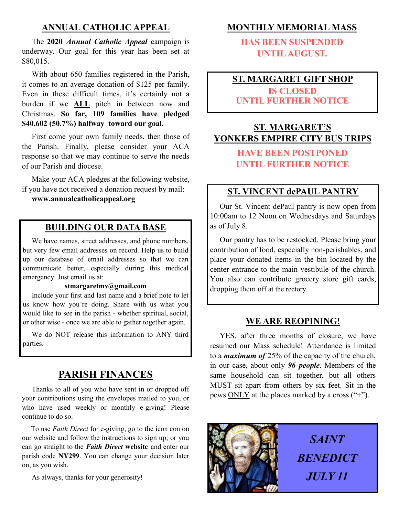## **ANNUAL CATHOLIC APPEAL**

 The **2020** *Annual Catholic Appeal* campaign is underway. Our goal for this year has been set at \$80,015.

 With about 650 families registered in the Parish, it comes to an average donation of \$125 per family. Even in these difficult times, it's certainly not a burden if we **ALL** pitch in between now and Christmas. **So far, 109 families have pledged \$40,602 (50.7%) halfway toward our goal.**

First come your own family needs, then those of the Parish. Finally, please consider your ACA response so that we may continue to serve the needs of our Parish and diocese.

 Make your ACA pledges at the following website, if you have not received a donation request by mail:

**www.annualcatholicappeal.org** 

## **BUILDING OUR DATA BASE**

 We have names, street addresses, and phone numbers, but very few email addresses on record. Help us to build up our database of email addresses so that we can communicate better, especially during this medical emergency. Just email us at:

#### **stmargaretmv@gmail.com**

 Include your first and last name and a brief note to let us know how you're doing. Share with us what you would like to see in the parish - whether spiritual, social, or other wise - once we are able to gather together again.

 We do NOT release this information to ANY third parties.

## **PARISH FINANCES**

 Thanks to all of you who have sent in or dropped off your contributions using the envelopes mailed to you, or who have used weekly or monthly e-giving! Please continue to do so.

To use *Faith Direct* for e-giving, go to the icon con on our website and follow the instructions to sign up; or you can go straight to the *Faith Direct* **website** and enter our parish code **NY299**. You can change your decision later on, as you wish.

As always, thanks for your generosity!

## **MONTHLY MEMORIAL MASS**

**HAS BEEN SUSPENDED UNTIL AUGUST.** 

## **ST. MARGARET GIFT SHOP IS CLOSED**

## **UNTIL FURTHER NOTICE**

## **ST. MARGARET'S YONKERS EMPIRE CITY BUS TRIPS**

## **HAVE BEEN POSTPONED UNTIL FURTHER NOTICE**

## **ST. VINCENT dePAUL PANTRY**

 Our St. Vincent dePaul pantry is now open from 10:00am to 12 Noon on Wednesdays and Saturdays as of July 8.

 Our pantry has to be restocked. Please bring your contribution of food, especially non-perishables, and place your donated items in the bin located by the center entrance to the main vestibule of the church. You also can contribute grocery store gift cards, dropping them off at the rectory.

#### **WE ARE REOPINING!**

 YES, after three months of closure, we have resumed our Mass schedule! Attendance is limited to a *maximum of* 25% of the capacity of the church, in our case, about only *96 people*. Members of the same household can sit together, but all others MUST sit apart from others by six feet. Sit in the pews ONLY at the places marked by a cross ("+").



*SAINT BENEDICT JULY 11*